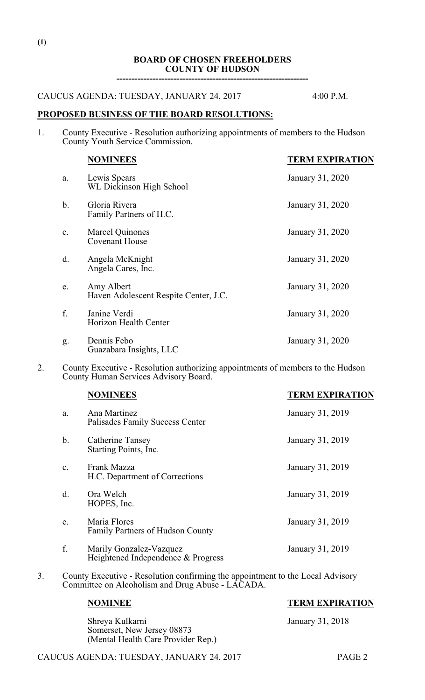#### **BOARD OF CHOSEN FREEHOLDERS COUNTY OF HUDSON ----------------------------------------------------------------**

## CAUCUS AGENDA: TUESDAY, JANUARY 24, 2017 4:00 P.M.

#### **PROPOSED BUSINESS OF THE BOARD RESOLUTIONS:**

1. County Executive - Resolution authorizing appointments of members to the Hudson County Youth Service Commission.

|                | <b>NOMINEES</b>                                     | <b>TERM EXPIRATION</b> |
|----------------|-----------------------------------------------------|------------------------|
| a.             | Lewis Spears<br>WL Dickinson High School            | January 31, 2020       |
| b.             | Gloria Rivera<br>Family Partners of H.C.            | January 31, 2020       |
| $\mathbf{c}$ . | <b>Marcel Quinones</b><br><b>Covenant House</b>     | January 31, 2020       |
| d.             | Angela McKnight<br>Angela Cares, Inc.               | January 31, 2020       |
| e.             | Amy Albert<br>Haven Adolescent Respite Center, J.C. | January 31, 2020       |
| f.             | Janine Verdi<br>Horizon Health Center               | January 31, 2020       |
| g.             | Dennis Febo<br>Guazabara Insights, LLC              | January 31, 2020       |

2. County Executive - Resolution authorizing appointments of members to the Hudson County Human Services Advisory Board.

|                | <b>NOMINEES</b>                                               | <b>TERM EXPIRATION</b> |
|----------------|---------------------------------------------------------------|------------------------|
| a.             | Ana Martinez<br>Palisades Family Success Center               | January 31, 2019       |
| $\mathbf b$ .  | Catherine Tansey<br>Starting Points, Inc.                     | January 31, 2019       |
| $\mathbf{C}$ . | Frank Mazza<br>H.C. Department of Corrections                 | January 31, 2019       |
| $\mathbf{d}$ . | Ora Welch<br>HOPES, Inc.                                      | January 31, 2019       |
| e.             | Maria Flores<br><b>Family Partners of Hudson County</b>       | January 31, 2019       |
| f.             | Marily Gonzalez-Vazquez<br>Heightened Independence & Progress | January 31, 2019       |

3. County Executive - Resolution confirming the appointment to the Local Advisory Committee on Alcoholism and Drug Abuse - LACADA.

Shreya Kulkarni January 31, 2018 Somerset, New Jersey 08873 (Mental Health Care Provider Rep.)

## CAUCUS AGENDA: TUESDAY, JANUARY 24, 2017 PAGE 2

# **NOMINEE TERM EXPIRATION**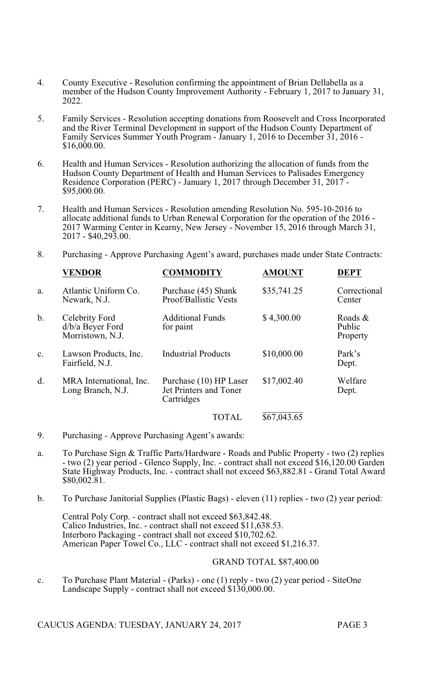- 4. County Executive Resolution confirming the appointment of Brian Dellabella as a member of the Hudson County Improvement Authority - February 1, 2017 to January 31, 2022.
- 5. Family Services Resolution accepting donations from Roosevelt and Cross Incorporated and the River Terminal Development in support of the Hudson County Department of Family Services Summer Youth Program - January 1, 2016 to December 31, 2016 - \$16,000.00.
- 6. Health and Human Services Resolution authorizing the allocation of funds from the Hudson County Department of Health and Human Services to Palisades Emergency Residence Corporation (PERC) - January 1, 2017 through December 31, 2017 - \$95,000.00.
- 7. Health and Human Services Resolution amending Resolution No. 595-10-2016 to allocate additional funds to Urban Renewal Corporation for the operation of the 2016 - 2017 Warming Center in Kearny, New Jersey - November 15, 2016 through March 31, 2017 - \$40,293.00.
- 8. Purchasing Approve Purchasing Agent's award, purchases made under State Contracts:

|       | <b>VENDOR</b>                                          | <b>COMMODITY</b>                                               | <b>AMOUNT</b> | <b>DEPT</b>                   |
|-------|--------------------------------------------------------|----------------------------------------------------------------|---------------|-------------------------------|
| a.    | Atlantic Uniform Co.<br>Newark, N.J.                   | Purchase (45) Shank<br>Proof/Ballistic Vests                   | \$35,741.25   | Correctional<br>Center        |
| $b$ . | Celebrity Ford<br>d/b/a Beyer Ford<br>Morristown, N.J. | <b>Additional Funds</b><br>for paint                           | \$4,300.00    | Roads &<br>Public<br>Property |
| c.    | Lawson Products, Inc.<br>Fairfield, N.J.               | <b>Industrial Products</b>                                     | \$10,000.00   | Park's<br>Dept.               |
| d.    | MRA International, Inc.<br>Long Branch, N.J.           | Purchase (10) HP Laser<br>Jet Printers and Toner<br>Cartridges | \$17,002.40   | Welfare<br>Dept.              |
|       |                                                        | <b>TOTAL</b>                                                   | \$67,043.65   |                               |

- 9. Purchasing Approve Purchasing Agent's awards:
- a. To Purchase Sign & Traffic Parts/Hardware Roads and Public Property two (2) replies - two (2) year period - Glenco Supply, Inc. - contract shall not exceed \$16,120.00 Garden State Highway Products, Inc. - contract shall not exceed \$63,882.81 - Grand Total Award \$80,002.81.
- b. To Purchase Janitorial Supplies (Plastic Bags) eleven (11) replies two (2) year period:

Central Poly Corp. - contract shall not exceed \$63,842.48. Calico Industries, Inc. - contract shall not exceed \$11,638.53. Interboro Packaging - contract shall not exceed \$10,702.62. American Paper Towel Co., LLC - contract shall not exceed \$1,216.37.

## GRAND TOTAL \$87,400.00

c. To Purchase Plant Material - (Parks) - one (1) reply - two (2) year period - SiteOne Landscape Supply - contract shall not exceed \$130,000.00.

CAUCUS AGENDA: TUESDAY, JANUARY 24, 2017 PAGE 3